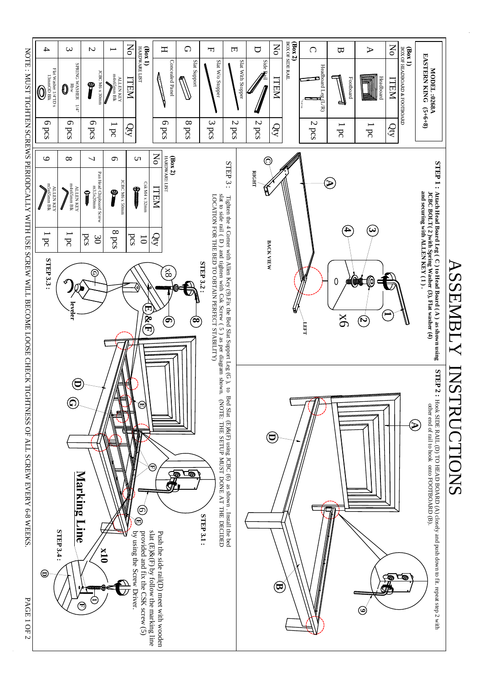